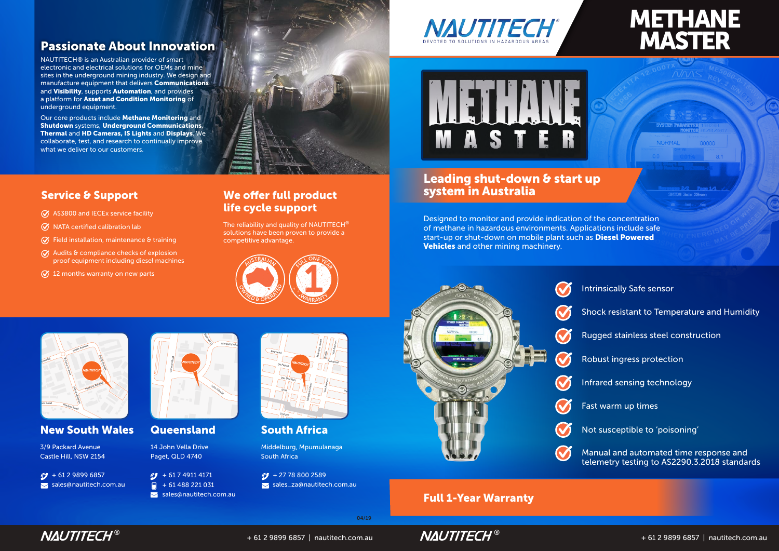# METHANE MASTER



### **New South Wales Queensland**





<mark>h Afri</mark>o

NAUTITECH® is an Australian provider of smart electronic and electrical solutions for OEMs and mine  $\overline{\phantom{\rule{0pt}{1.5pt}}\,}$  sites in the underground mining industry. We design and  $\overline{\phantom{\rule{0pt}{1.5pt}}\,}$ manufacture equipment that delivers Communications and Visibility, supports Automation, and provides a platform for Asset and Condition Monitoring of underground equipment.

> SUU LITATTICA<br>Middelburg, Mpumulanaga South Africa

 $C$  + 27 78 800 2589 sales\_za@nautitech.com.au





The reliability and quality of NAUTITECH<sup>®</sup> solutions have been proven to provide a competitive advantage.

Our core products include Methane Monitoring and Shutdown systems, Underground Communications, Thermal and HD Cameras, IS Lights and Displays. We collaborate, test, and research to continually improve what we deliver to our customers.

- $\oslash$  AS3800 and IECEx service facility
- $\oslash$  NATA certified calibration lab
- $\oslash$  Field installation, maintenance & training
- $\oslash$  Audits & compliance checks of explosion proof equipment including diesel machines
- $\oslash$  12 months warranty on new parts

# Passionate About Innovation

# Leading shut-down & start up system in Australia

Designed to monitor and provide indication of the concentration of methane in hazardous environments. Applications include safe start-up or shut-down on mobile plant such as Diesel Powered Vehicles and other mining machinery.



3/9 Packard Avenue Castle Hill, NSW 2154

 $\sqrt{9 + 61298996857}$ sales@nautitech.com.au 14 John Vella Drive Paget, QLD 4740

 $\circ$  + 61 7 4911 4171  $\frac{1}{2}$  + 61 488 221 031  $\blacktriangleright$  sales@nautitech.com.au





04/19

### Full 1-Year Warranty



- Intrinsically Safe sensor
- Shock resistant to Temperature and Humidity
- Rugged stainless steel construction
- Robust ingress protection
- Infrared sensing technology
- Fast warm up times
- Not susceptible to 'poisoning'
- Manual and automated time response and telemetry testing to AS2290.3.2018 standards